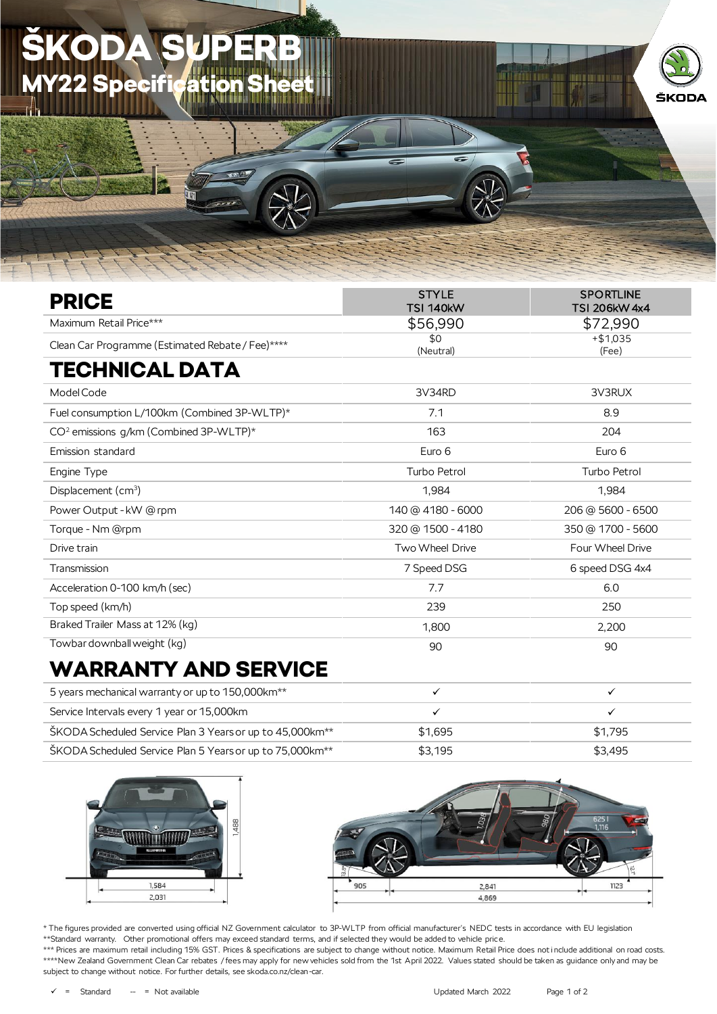## ODA **Y22 Specification**



## WARRANTY AND SERVICE

| 5 years mechanical warranty or up to 150,000 km <sup>**</sup>        |         |         |
|----------------------------------------------------------------------|---------|---------|
| Service Intervals every 1 year or 15,000km                           |         |         |
| ŠKODA Scheduled Service Plan 3 Years or up to 45,000km <sup>**</sup> | \$1.695 | \$1.795 |
| ŠKODA Scheduled Service Plan 5 Years or up to 75,000km <sup>**</sup> | \$3,195 | \$3.495 |





ŠKODA

\* The figures provided are converted using official NZ Government calculator to 3P-WLTP from official manufacturer's NEDC tests in accordance with EU legislation \*\*Standard warranty. Other promotional offers may exceed standard terms, and if selected they would be added to vehicle price.

\*\*\* Prices are maximum retail including 15% GST. Prices & specifications are subject to change without notice. Maximum Retail Price does not include additional on road costs. \*\*\*\*New Zealand Government Clean Car rebates / fees may apply for new vehicles sold from the 1st April 2022. Values stated should be taken as quidance only and may be subject to change without notice. For further details, see skoda.co.nz/clean-car.